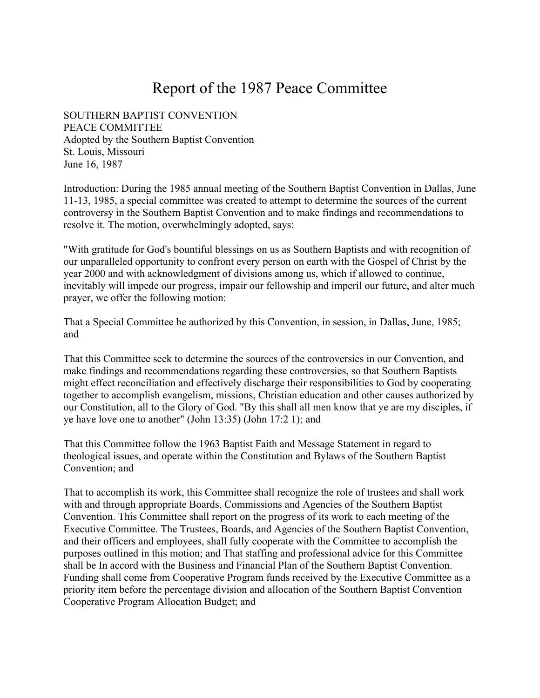# Report of the 1987 Peace Committee

SOUTHERN BAPTIST CONVENTION PEACE COMMITTEE Adopted by the Southern Baptist Convention St. Louis, Missouri June 16, 1987

Introduction: During the 1985 annual meeting of the Southern Baptist Convention in Dallas, June 11-13, 1985, a special committee was created to attempt to determine the sources of the current controversy in the Southern Baptist Convention and to make findings and recommendations to resolve it. The motion, overwhelmingly adopted, says:

"With gratitude for God's bountiful blessings on us as Southern Baptists and with recognition of our unparalleled opportunity to confront every person on earth with the Gospel of Christ by the year 2000 and with acknowledgment of divisions among us, which if allowed to continue, inevitably will impede our progress, impair our fellowship and imperil our future, and alter much prayer, we offer the following motion:

That a Special Committee be authorized by this Convention, in session, in Dallas, June, 1985; and

That this Committee seek to determine the sources of the controversies in our Convention, and make findings and recommendations regarding these controversies, so that Southern Baptists might effect reconciliation and effectively discharge their responsibilities to God by cooperating together to accomplish evangelism, missions, Christian education and other causes authorized by our Constitution, all to the Glory of God. "By this shall all men know that ye are my disciples, if ye have love one to another" (John 13:35) (John 17:2 1); and

That this Committee follow the 1963 Baptist Faith and Message Statement in regard to theological issues, and operate within the Constitution and Bylaws of the Southern Baptist Convention; and

That to accomplish its work, this Committee shall recognize the role of trustees and shall work with and through appropriate Boards, Commissions and Agencies of the Southern Baptist Convention. This Committee shall report on the progress of its work to each meeting of the Executive Committee. The Trustees, Boards, and Agencies of the Southern Baptist Convention, and their officers and employees, shall fully cooperate with the Committee to accomplish the purposes outlined in this motion; and That staffing and professional advice for this Committee shall be In accord with the Business and Financial Plan of the Southern Baptist Convention. Funding shall come from Cooperative Program funds received by the Executive Committee as a priority item before the percentage division and allocation of the Southern Baptist Convention Cooperative Program Allocation Budget; and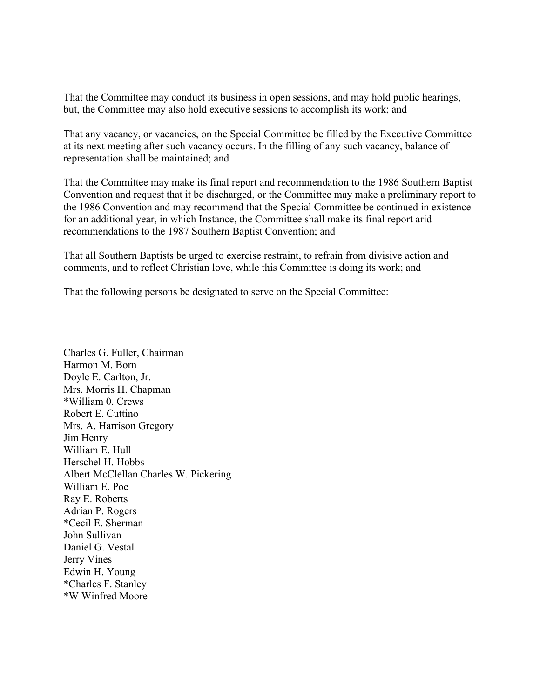That the Committee may conduct its business in open sessions, and may hold public hearings, but, the Committee may also hold executive sessions to accomplish its work; and

That any vacancy, or vacancies, on the Special Committee be filled by the Executive Committee at its next meeting after such vacancy occurs. In the filling of any such vacancy, balance of representation shall be maintained; and

That the Committee may make its final report and recommendation to the 1986 Southern Baptist Convention and request that it be discharged, or the Committee may make a preliminary report to the 1986 Convention and may recommend that the Special Committee be continued in existence for an additional year, in which Instance, the Committee shall make its final report arid recommendations to the 1987 Southern Baptist Convention; and

That all Southern Baptists be urged to exercise restraint, to refrain from divisive action and comments, and to reflect Christian love, while this Committee is doing its work; and

That the following persons be designated to serve on the Special Committee:

Charles G. Fuller, Chairman Harmon M. Born Doyle E. Carlton, Jr. Mrs. Morris H. Chapman \*William 0. Crews Robert E. Cuttino Mrs. A. Harrison Gregory Jim Henry William E. Hull Herschel H. Hobbs Albert McClellan Charles W. Pickering William E. Poe Ray E. Roberts Adrian P. Rogers \*Cecil E. Sherman John Sullivan Daniel G. Vestal Jerry Vines Edwin H. Young \*Charles F. Stanley \*W Winfred Moore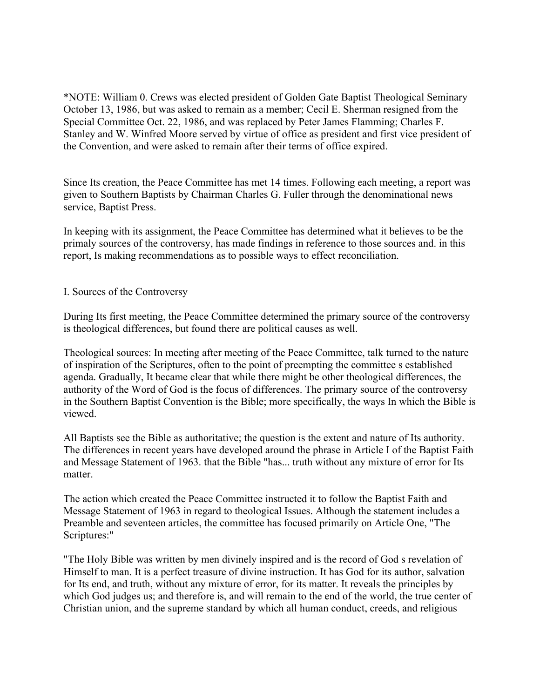\*NOTE: William 0. Crews was elected president of Golden Gate Baptist Theological Seminary October 13, 1986, but was asked to remain as a member; Cecil E. Sherman resigned from the Special Committee Oct. 22, 1986, and was replaced by Peter James Flamming; Charles F. Stanley and W. Winfred Moore served by virtue of office as president and first vice president of the Convention, and were asked to remain after their terms of office expired.

Since Its creation, the Peace Committee has met 14 times. Following each meeting, a report was given to Southern Baptists by Chairman Charles G. Fuller through the denominational news service, Baptist Press.

In keeping with its assignment, the Peace Committee has determined what it believes to be the primaly sources of the controversy, has made findings in reference to those sources and. in this report, Is making recommendations as to possible ways to effect reconciliation.

I. Sources of the Controversy

During Its first meeting, the Peace Committee determined the primary source of the controversy is theological differences, but found there are political causes as well.

Theological sources: In meeting after meeting of the Peace Committee, talk turned to the nature of inspiration of the Scriptures, often to the point of preempting the committee s established agenda. Gradually, It became clear that while there might be other theological differences, the authority of the Word of God is the focus of differences. The primary source of the controversy in the Southern Baptist Convention is the Bible; more specifically, the ways In which the Bible is viewed.

All Baptists see the Bible as authoritative; the question is the extent and nature of Its authority. The differences in recent years have developed around the phrase in Article I of the Baptist Faith and Message Statement of 1963. that the Bible "has... truth without any mixture of error for Its matter.

The action which created the Peace Committee instructed it to follow the Baptist Faith and Message Statement of 1963 in regard to theological Issues. Although the statement includes a Preamble and seventeen articles, the committee has focused primarily on Article One, "The Scriptures:"

"The Holy Bible was written by men divinely inspired and is the record of God s revelation of Himself to man. It is a perfect treasure of divine instruction. It has God for its author, salvation for Its end, and truth, without any mixture of error, for its matter. It reveals the principles by which God judges us; and therefore is, and will remain to the end of the world, the true center of Christian union, and the supreme standard by which all human conduct, creeds, and religious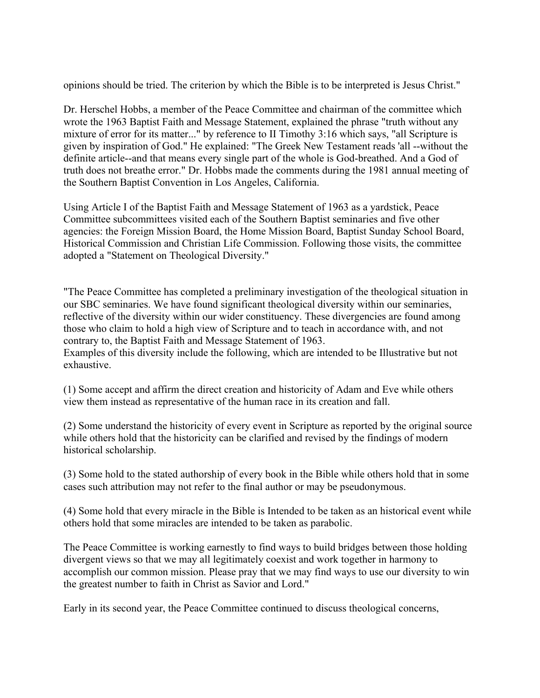opinions should be tried. The criterion by which the Bible is to be interpreted is Jesus Christ."

Dr. Herschel Hobbs, a member of the Peace Committee and chairman of the committee which wrote the 1963 Baptist Faith and Message Statement, explained the phrase "truth without any mixture of error for its matter..." by reference to II Timothy 3:16 which says, "all Scripture is given by inspiration of God." He explained: "The Greek New Testament reads 'all --without the definite article--and that means every single part of the whole is God-breathed. And a God of truth does not breathe error." Dr. Hobbs made the comments during the 1981 annual meeting of the Southern Baptist Convention in Los Angeles, California.

Using Article I of the Baptist Faith and Message Statement of 1963 as a yardstick, Peace Committee subcommittees visited each of the Southern Baptist seminaries and five other agencies: the Foreign Mission Board, the Home Mission Board, Baptist Sunday School Board, Historical Commission and Christian Life Commission. Following those visits, the committee adopted a "Statement on Theological Diversity."

"The Peace Committee has completed a preliminary investigation of the theological situation in our SBC seminaries. We have found significant theological diversity within our seminaries, reflective of the diversity within our wider constituency. These divergencies are found among those who claim to hold a high view of Scripture and to teach in accordance with, and not contrary to, the Baptist Faith and Message Statement of 1963.

Examples of this diversity include the following, which are intended to be Illustrative but not exhaustive.

(1) Some accept and affirm the direct creation and historicity of Adam and Eve while others view them instead as representative of the human race in its creation and fall.

(2) Some understand the historicity of every event in Scripture as reported by the original source while others hold that the historicity can be clarified and revised by the findings of modern historical scholarship.

(3) Some hold to the stated authorship of every book in the Bible while others hold that in some cases such attribution may not refer to the final author or may be pseudonymous.

(4) Some hold that every miracle in the Bible is Intended to be taken as an historical event while others hold that some miracles are intended to be taken as parabolic.

The Peace Committee is working earnestly to find ways to build bridges between those holding divergent views so that we may all legitimately coexist and work together in harmony to accomplish our common mission. Please pray that we may find ways to use our diversity to win the greatest number to faith in Christ as Savior and Lord."

Early in its second year, the Peace Committee continued to discuss theological concerns,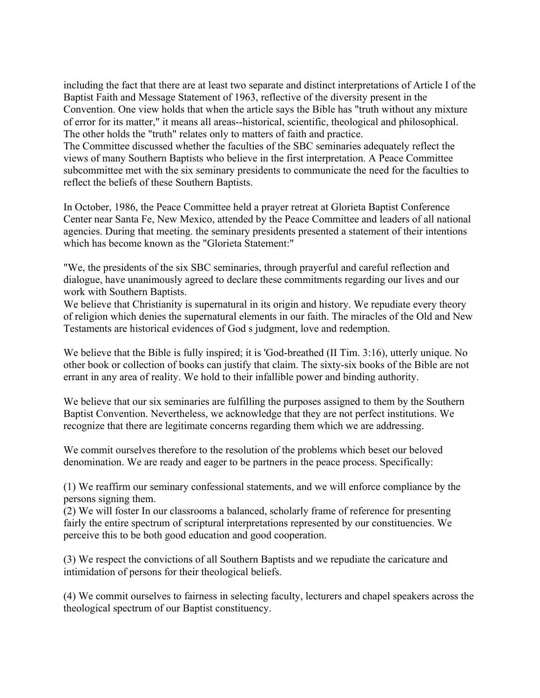including the fact that there are at least two separate and distinct interpretations of Article I of the Baptist Faith and Message Statement of 1963, reflective of the diversity present in the Convention. One view holds that when the article says the Bible has "truth without any mixture of error for its matter," it means all areas--historical, scientific, theological and philosophical. The other holds the "truth" relates only to matters of faith and practice.

The Committee discussed whether the faculties of the SBC seminaries adequately reflect the views of many Southern Baptists who believe in the first interpretation. A Peace Committee subcommittee met with the six seminary presidents to communicate the need for the faculties to reflect the beliefs of these Southern Baptists.

In October, 1986, the Peace Committee held a prayer retreat at Glorieta Baptist Conference Center near Santa Fe, New Mexico, attended by the Peace Committee and leaders of all national agencies. During that meeting. the seminary presidents presented a statement of their intentions which has become known as the "Glorieta Statement:"

"We, the presidents of the six SBC seminaries, through prayerful and careful reflection and dialogue, have unanimously agreed to declare these commitments regarding our lives and our work with Southern Baptists.

We believe that Christianity is supernatural in its origin and history. We repudiate every theory of religion which denies the supernatural elements in our faith. The miracles of the Old and New Testaments are historical evidences of God s judgment, love and redemption.

We believe that the Bible is fully inspired; it is 'God-breathed (II Tim. 3:16), utterly unique. No other book or collection of books can justify that claim. The sixty-six books of the Bible are not errant in any area of reality. We hold to their infallible power and binding authority.

We believe that our six seminaries are fulfilling the purposes assigned to them by the Southern Baptist Convention. Nevertheless, we acknowledge that they are not perfect institutions. We recognize that there are legitimate concerns regarding them which we are addressing.

We commit ourselves therefore to the resolution of the problems which beset our beloved denomination. We are ready and eager to be partners in the peace process. Specifically:

(1) We reaffirm our seminary confessional statements, and we will enforce compliance by the persons signing them.

(2) We will foster In our classrooms a balanced, scholarly frame of reference for presenting fairly the entire spectrum of scriptural interpretations represented by our constituencies. We perceive this to be both good education and good cooperation.

(3) We respect the convictions of all Southern Baptists and we repudiate the caricature and intimidation of persons for their theological beliefs.

(4) We commit ourselves to fairness in selecting faculty, lecturers and chapel speakers across the theological spectrum of our Baptist constituency.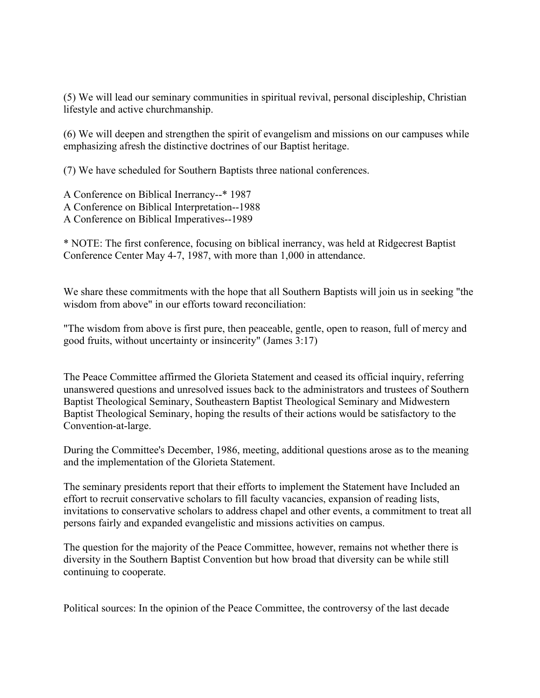(5) We will lead our seminary communities in spiritual revival, personal discipleship, Christian lifestyle and active churchmanship.

(6) We will deepen and strengthen the spirit of evangelism and missions on our campuses while emphasizing afresh the distinctive doctrines of our Baptist heritage.

(7) We have scheduled for Southern Baptists three national conferences.

A Conference on Biblical Inerrancy--\* 1987 A Conference on Biblical Interpretation--1988 A Conference on Biblical Imperatives--1989

\* NOTE: The first conference, focusing on biblical inerrancy, was held at Ridgecrest Baptist Conference Center May 4-7, 1987, with more than 1,000 in attendance.

We share these commitments with the hope that all Southern Baptists will join us in seeking "the wisdom from above" in our efforts toward reconciliation:

"The wisdom from above is first pure, then peaceable, gentle, open to reason, full of mercy and good fruits, without uncertainty or insincerity" (James 3:17)

The Peace Committee affirmed the Glorieta Statement and ceased its official inquiry, referring unanswered questions and unresolved issues back to the administrators and trustees of Southern Baptist Theological Seminary, Southeastern Baptist Theological Seminary and Midwestern Baptist Theological Seminary, hoping the results of their actions would be satisfactory to the Convention-at-large.

During the Committee's December, 1986, meeting, additional questions arose as to the meaning and the implementation of the Glorieta Statement.

The seminary presidents report that their efforts to implement the Statement have Included an effort to recruit conservative scholars to fill faculty vacancies, expansion of reading lists, invitations to conservative scholars to address chapel and other events, a commitment to treat all persons fairly and expanded evangelistic and missions activities on campus.

The question for the majority of the Peace Committee, however, remains not whether there is diversity in the Southern Baptist Convention but how broad that diversity can be while still continuing to cooperate.

Political sources: In the opinion of the Peace Committee, the controversy of the last decade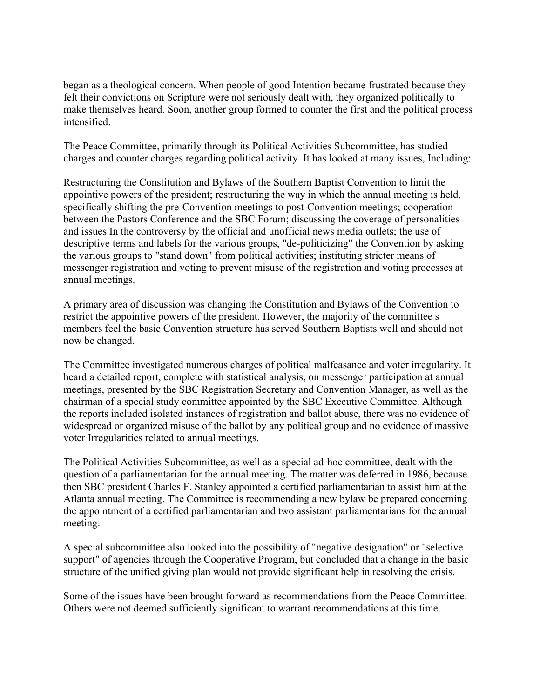began as a theological concern. When people of good Intention became frustrated because they felt their convictions on Scripture were not seriously dealt with, they organized politically to make themselves heard. Soon, another group formed to counter the first and the political process intensified.

The Peace Committee, primarily through its Political Activities Subcommittee, has studied charges and counter charges regarding political activity. It has looked at many issues, Including:

Restructuring the Constitution and Bylaws of the Southern Baptist Convention to limit the appointive powers of the president; restructuring the way in which the annual meeting is held, specifically shifting the pre-Convention meetings to post-Convention meetings; cooperation between the Pastors Conference and the SBC Forum; discussing the coverage of personalities and issues In the controversy by the official and unofficial news media outlets; the use of descriptive terms and labels for the various groups, "de-politicizing" the Convention by asking the various groups to "stand down" from political activities; instituting stricter means of messenger registration and voting to prevent misuse of the registration and voting processes at annual meetings.

A primary area of discussion was changing the Constitution and Bylaws of the Convention to restrict the appointive powers of the president. However, the majority of the committee s members feel the basic Convention structure has served Southern Baptists well and should not now be changed.

The Committee investigated numerous charges of political malfeasance and voter irregularity. It heard a detailed report, complete with statistical analysis, on messenger participation at annual meetings, presented by the SBC Registration Secretary and Convention Manager, as well as the chairman of a special study committee appointed by the SBC Executive Committee. Although the reports included isolated instances of registration and ballot abuse, there was no evidence of widespread or organized misuse of the ballot by any political group and no evidence of massive voter Irregularities related to annual meetings.

The Political Activities Subcommittee, as well as a special ad-hoc committee, dealt with the question of a parliamentarian for the annual meeting. The matter was deferred in 1986, because then SBC president Charles F. Stanley appointed a certified parliamentarian to assist him at the Atlanta annual meeting. The Committee is recommending a new bylaw be prepared concerning the appointment of a certified parliamentarian and two assistant parliamentarians for the annual meeting.

A special subcommittee also looked into the possibility of "negative designation" or "selective support" of agencies through the Cooperative Program, but concluded that a change in the basic structure of the unified giving plan would not provide significant help in resolving the crisis.

Some of the issues have been brought forward as recommendations from the Peace Committee. Others were not deemed sufficiently significant to warrant recommendations at this time.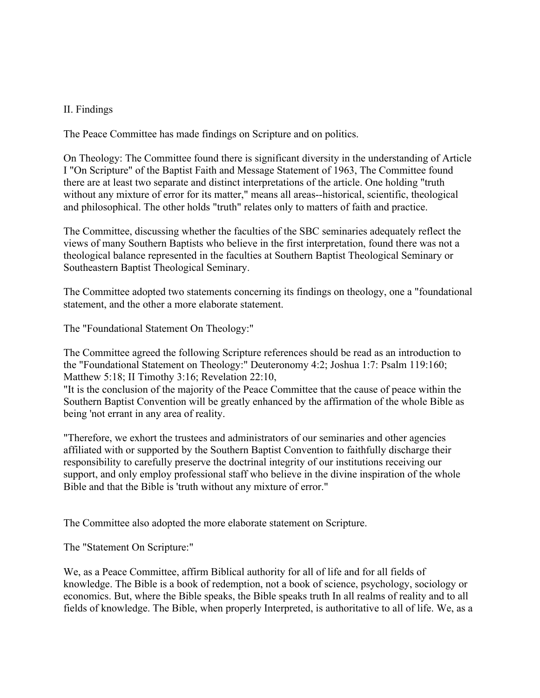#### II. Findings

The Peace Committee has made findings on Scripture and on politics.

On Theology: The Committee found there is significant diversity in the understanding of Article I "On Scripture" of the Baptist Faith and Message Statement of 1963, The Committee found there are at least two separate and distinct interpretations of the article. One holding "truth without any mixture of error for its matter," means all areas--historical, scientific, theological and philosophical. The other holds "truth" relates only to matters of faith and practice.

The Committee, discussing whether the faculties of the SBC seminaries adequately reflect the views of many Southern Baptists who believe in the first interpretation, found there was not a theological balance represented in the faculties at Southern Baptist Theological Seminary or Southeastern Baptist Theological Seminary.

The Committee adopted two statements concerning its findings on theology, one a "foundational statement, and the other a more elaborate statement.

The "Foundational Statement On Theology:"

The Committee agreed the following Scripture references should be read as an introduction to the "Foundational Statement on Theology:" Deuteronomy 4:2; Joshua 1:7: Psalm 119:160; Matthew 5:18; II Timothy 3:16; Revelation 22:10,

"It is the conclusion of the majority of the Peace Committee that the cause of peace within the Southern Baptist Convention will be greatly enhanced by the affirmation of the whole Bible as being 'not errant in any area of reality.

"Therefore, we exhort the trustees and administrators of our seminaries and other agencies affiliated with or supported by the Southern Baptist Convention to faithfully discharge their responsibility to carefully preserve the doctrinal integrity of our institutions receiving our support, and only employ professional staff who believe in the divine inspiration of the whole Bible and that the Bible is 'truth without any mixture of error."

The Committee also adopted the more elaborate statement on Scripture.

The "Statement On Scripture:"

We, as a Peace Committee, affirm Biblical authority for all of life and for all fields of knowledge. The Bible is a book of redemption, not a book of science, psychology, sociology or economics. But, where the Bible speaks, the Bible speaks truth In all realms of reality and to all fields of knowledge. The Bible, when properly Interpreted, is authoritative to all of life. We, as a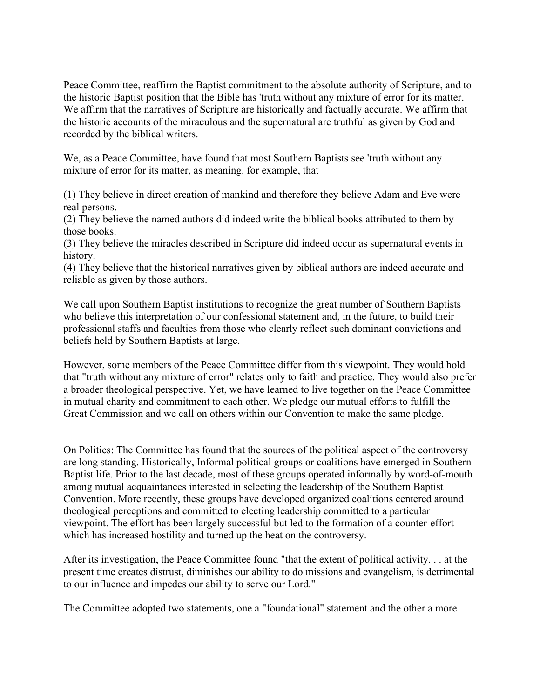Peace Committee, reaffirm the Baptist commitment to the absolute authority of Scripture, and to the historic Baptist position that the Bible has 'truth without any mixture of error for its matter. We affirm that the narratives of Scripture are historically and factually accurate. We affirm that the historic accounts of the miraculous and the supernatural are truthful as given by God and recorded by the biblical writers.

We, as a Peace Committee, have found that most Southern Baptists see 'truth without any mixture of error for its matter, as meaning. for example, that

(1) They believe in direct creation of mankind and therefore they believe Adam and Eve were real persons.

(2) They believe the named authors did indeed write the biblical books attributed to them by those books.

(3) They believe the miracles described in Scripture did indeed occur as supernatural events in history.

(4) They believe that the historical narratives given by biblical authors are indeed accurate and reliable as given by those authors.

We call upon Southern Baptist institutions to recognize the great number of Southern Baptists who believe this interpretation of our confessional statement and, in the future, to build their professional staffs and faculties from those who clearly reflect such dominant convictions and beliefs held by Southern Baptists at large.

However, some members of the Peace Committee differ from this viewpoint. They would hold that "truth without any mixture of error" relates only to faith and practice. They would also prefer a broader theological perspective. Yet, we have learned to live together on the Peace Committee in mutual charity and commitment to each other. We pledge our mutual efforts to fulfill the Great Commission and we call on others within our Convention to make the same pledge.

On Politics: The Committee has found that the sources of the political aspect of the controversy are long standing. Historically, Informal political groups or coalitions have emerged in Southern Baptist life. Prior to the last decade, most of these groups operated informally by word-of-mouth among mutual acquaintances interested in selecting the leadership of the Southern Baptist Convention. More recently, these groups have developed organized coalitions centered around theological perceptions and committed to electing leadership committed to a particular viewpoint. The effort has been largely successful but led to the formation of a counter-effort which has increased hostility and turned up the heat on the controversy.

After its investigation, the Peace Committee found "that the extent of political activity. . . at the present time creates distrust, diminishes our ability to do missions and evangelism, is detrimental to our influence and impedes our ability to serve our Lord."

The Committee adopted two statements, one a "foundational" statement and the other a more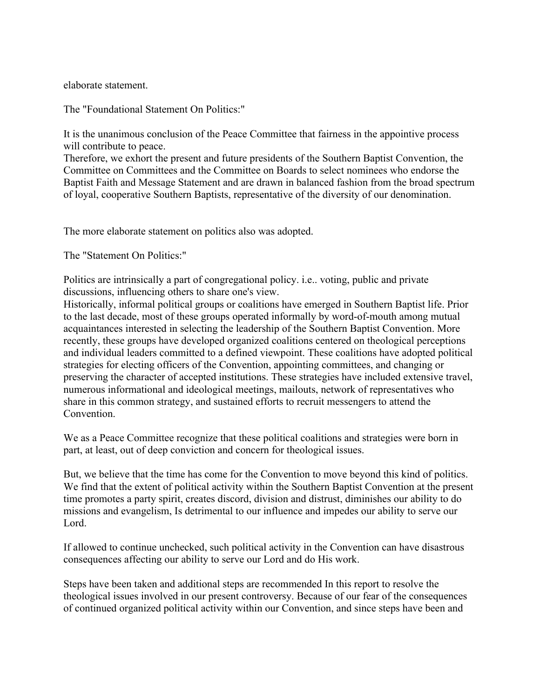elaborate statement.

The "Foundational Statement On Politics:"

It is the unanimous conclusion of the Peace Committee that fairness in the appointive process will contribute to peace.

Therefore, we exhort the present and future presidents of the Southern Baptist Convention, the Committee on Committees and the Committee on Boards to select nominees who endorse the Baptist Faith and Message Statement and are drawn in balanced fashion from the broad spectrum of loyal, cooperative Southern Baptists, representative of the diversity of our denomination.

The more elaborate statement on politics also was adopted.

The "Statement On Politics:"

Politics are intrinsically a part of congregational policy. i.e.. voting, public and private discussions, influencing others to share one's view.

Historically, informal political groups or coalitions have emerged in Southern Baptist life. Prior to the last decade, most of these groups operated informally by word-of-mouth among mutual acquaintances interested in selecting the leadership of the Southern Baptist Convention. More recently, these groups have developed organized coalitions centered on theological perceptions and individual leaders committed to a defined viewpoint. These coalitions have adopted political strategies for electing officers of the Convention, appointing committees, and changing or preserving the character of accepted institutions. These strategies have included extensive travel, numerous informational and ideological meetings, mailouts, network of representatives who share in this common strategy, and sustained efforts to recruit messengers to attend the **Convention** 

We as a Peace Committee recognize that these political coalitions and strategies were born in part, at least, out of deep conviction and concern for theological issues.

But, we believe that the time has come for the Convention to move beyond this kind of politics. We find that the extent of political activity within the Southern Baptist Convention at the present time promotes a party spirit, creates discord, division and distrust, diminishes our ability to do missions and evangelism, Is detrimental to our influence and impedes our ability to serve our Lord.

If allowed to continue unchecked, such political activity in the Convention can have disastrous consequences affecting our ability to serve our Lord and do His work.

Steps have been taken and additional steps are recommended In this report to resolve the theological issues involved in our present controversy. Because of our fear of the consequences of continued organized political activity within our Convention, and since steps have been and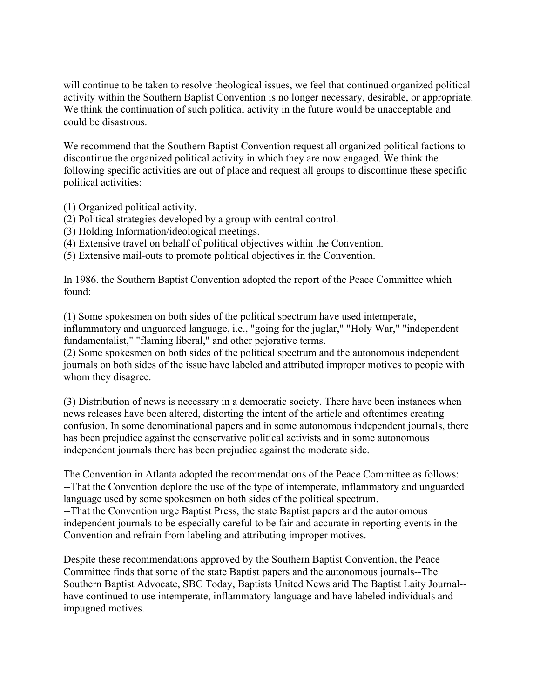will continue to be taken to resolve theological issues, we feel that continued organized political activity within the Southern Baptist Convention is no longer necessary, desirable, or appropriate. We think the continuation of such political activity in the future would be unacceptable and could be disastrous.

We recommend that the Southern Baptist Convention request all organized political factions to discontinue the organized political activity in which they are now engaged. We think the following specific activities are out of place and request all groups to discontinue these specific political activities:

(1) Organized political activity.

- (2) Political strategies developed by a group with central control.
- (3) Holding Information/ideological meetings.
- (4) Extensive travel on behalf of political objectives within the Convention.
- (5) Extensive mail-outs to promote political objectives in the Convention.

In 1986. the Southern Baptist Convention adopted the report of the Peace Committee which found:

(1) Some spokesmen on both sides of the political spectrum have used intemperate, inflammatory and unguarded language, i.e., "going for the juglar," "Holy War," "independent fundamentalist," "flaming liberal," and other pejorative terms.

(2) Some spokesmen on both sides of the political spectrum and the autonomous independent journals on both sides of the issue have labeled and attributed improper motives to peopie with whom they disagree.

(3) Distribution of news is necessary in a democratic society. There have been instances when news releases have been altered, distorting the intent of the article and oftentimes creating confusion. In some denominational papers and in some autonomous independent journals, there has been prejudice against the conservative political activists and in some autonomous independent journals there has been prejudice against the moderate side.

The Convention in Atlanta adopted the recommendations of the Peace Committee as follows: --That the Convention deplore the use of the type of intemperate, inflammatory and unguarded language used by some spokesmen on both sides of the political spectrum. --That the Convention urge Baptist Press, the state Baptist papers and the autonomous independent journals to be especially careful to be fair and accurate in reporting events in the Convention and refrain from labeling and attributing improper motives.

Despite these recommendations approved by the Southern Baptist Convention, the Peace Committee finds that some of the state Baptist papers and the autonomous journals--The Southern Baptist Advocate, SBC Today, Baptists United News arid The Baptist Laity Journal- have continued to use intemperate, inflammatory language and have labeled individuals and impugned motives.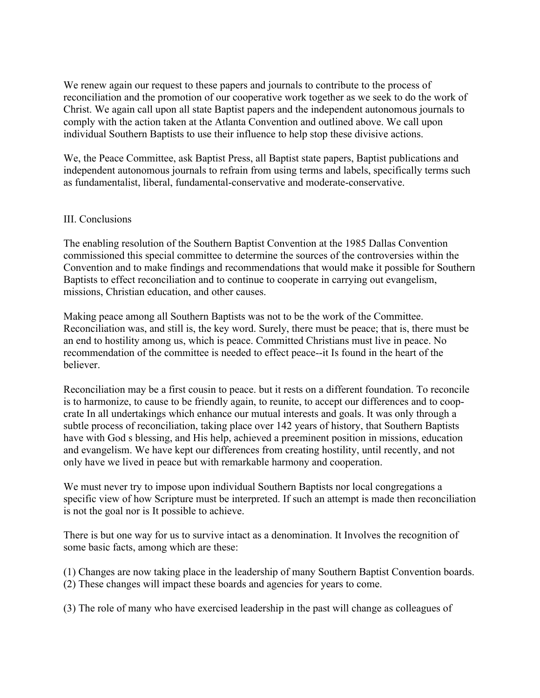We renew again our request to these papers and journals to contribute to the process of reconciliation and the promotion of our cooperative work together as we seek to do the work of Christ. We again call upon all state Baptist papers and the independent autonomous journals to comply with the action taken at the Atlanta Convention and outlined above. We call upon individual Southern Baptists to use their influence to help stop these divisive actions.

We, the Peace Committee, ask Baptist Press, all Baptist state papers, Baptist publications and independent autonomous journals to refrain from using terms and labels, specifically terms such as fundamentalist, liberal, fundamental-conservative and moderate-conservative.

### III. Conclusions

The enabling resolution of the Southern Baptist Convention at the 1985 Dallas Convention commissioned this special committee to determine the sources of the controversies within the Convention and to make findings and recommendations that would make it possible for Southern Baptists to effect reconciliation and to continue to cooperate in carrying out evangelism, missions, Christian education, and other causes.

Making peace among all Southern Baptists was not to be the work of the Committee. Reconciliation was, and still is, the key word. Surely, there must be peace; that is, there must be an end to hostility among us, which is peace. Committed Christians must live in peace. No recommendation of the committee is needed to effect peace--it Is found in the heart of the believer.

Reconciliation may be a first cousin to peace. but it rests on a different foundation. To reconcile is to harmonize, to cause to be friendly again, to reunite, to accept our differences and to coopcrate In all undertakings which enhance our mutual interests and goals. It was only through a subtle process of reconciliation, taking place over 142 years of history, that Southern Baptists have with God s blessing, and His help, achieved a preeminent position in missions, education and evangelism. We have kept our differences from creating hostility, until recently, and not only have we lived in peace but with remarkable harmony and cooperation.

We must never try to impose upon individual Southern Baptists nor local congregations a specific view of how Scripture must be interpreted. If such an attempt is made then reconciliation is not the goal nor is It possible to achieve.

There is but one way for us to survive intact as a denomination. It Involves the recognition of some basic facts, among which are these:

- (1) Changes are now taking place in the leadership of many Southern Baptist Convention boards. (2) These changes will impact these boards and agencies for years to come.
- (3) The role of many who have exercised leadership in the past will change as colleagues of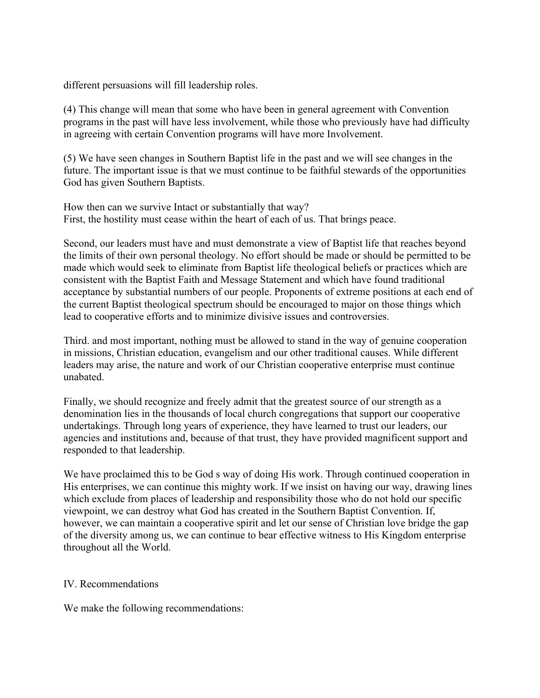different persuasions will fill leadership roles.

(4) This change will mean that some who have been in general agreement with Convention programs in the past will have less involvement, while those who previously have had difficulty in agreeing with certain Convention programs will have more Involvement.

(5) We have seen changes in Southern Baptist life in the past and we will see changes in the future. The important issue is that we must continue to be faithful stewards of the opportunities God has given Southern Baptists.

How then can we survive Intact or substantially that way? First, the hostility must cease within the heart of each of us. That brings peace.

Second, our leaders must have and must demonstrate a view of Baptist life that reaches beyond the limits of their own personal theology. No effort should be made or should be permitted to be made which would seek to eliminate from Baptist life theological beliefs or practices which are consistent with the Baptist Faith and Message Statement and which have found traditional acceptance by substantial numbers of our people. Proponents of extreme positions at each end of the current Baptist theological spectrum should be encouraged to major on those things which lead to cooperative efforts and to minimize divisive issues and controversies.

Third. and most important, nothing must be allowed to stand in the way of genuine cooperation in missions, Christian education, evangelism and our other traditional causes. While different leaders may arise, the nature and work of our Christian cooperative enterprise must continue unabated.

Finally, we should recognize and freely admit that the greatest source of our strength as a denomination lies in the thousands of local church congregations that support our cooperative undertakings. Through long years of experience, they have learned to trust our leaders, our agencies and institutions and, because of that trust, they have provided magnificent support and responded to that leadership.

We have proclaimed this to be God s way of doing His work. Through continued cooperation in His enterprises, we can continue this mighty work. If we insist on having our way, drawing lines which exclude from places of leadership and responsibility those who do not hold our specific viewpoint, we can destroy what God has created in the Southern Baptist Convention. If, however, we can maintain a cooperative spirit and let our sense of Christian love bridge the gap of the diversity among us, we can continue to bear effective witness to His Kingdom enterprise throughout all the World.

#### IV. Recommendations

We make the following recommendations: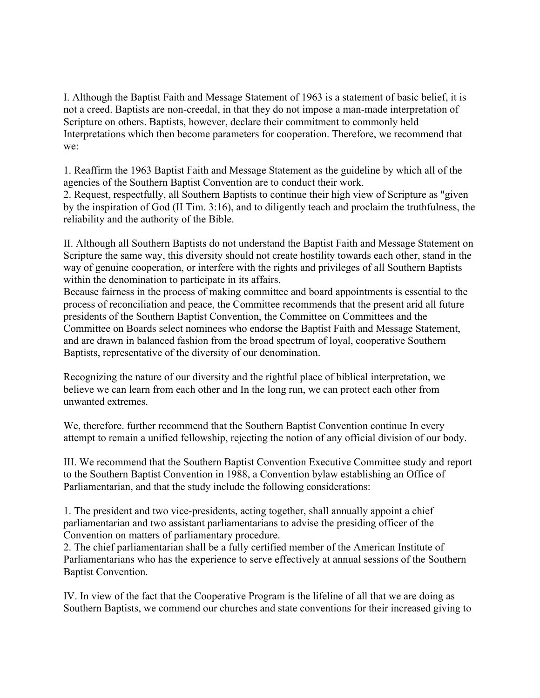I. Although the Baptist Faith and Message Statement of 1963 is a statement of basic belief, it is not a creed. Baptists are non-creedal, in that they do not impose a man-made interpretation of Scripture on others. Baptists, however, declare their commitment to commonly held Interpretations which then become parameters for cooperation. Therefore, we recommend that we:

1. Reaffirm the 1963 Baptist Faith and Message Statement as the guideline by which all of the agencies of the Southern Baptist Convention are to conduct their work.

2. Request, respectfully, all Southern Baptists to continue their high view of Scripture as "given by the inspiration of God (II Tim. 3:16), and to diligently teach and proclaim the truthfulness, the reliability and the authority of the Bible.

II. Although all Southern Baptists do not understand the Baptist Faith and Message Statement on Scripture the same way, this diversity should not create hostility towards each other, stand in the way of genuine cooperation, or interfere with the rights and privileges of all Southern Baptists within the denomination to participate in its affairs.

Because fairness in the process of making committee and board appointments is essential to the process of reconciliation and peace, the Committee recommends that the present arid all future presidents of the Southern Baptist Convention, the Committee on Committees and the Committee on Boards select nominees who endorse the Baptist Faith and Message Statement, and are drawn in balanced fashion from the broad spectrum of loyal, cooperative Southern Baptists, representative of the diversity of our denomination.

Recognizing the nature of our diversity and the rightful place of biblical interpretation, we believe we can learn from each other and In the long run, we can protect each other from unwanted extremes.

We, therefore. further recommend that the Southern Baptist Convention continue In every attempt to remain a unified fellowship, rejecting the notion of any official division of our body.

III. We recommend that the Southern Baptist Convention Executive Committee study and report to the Southern Baptist Convention in 1988, a Convention bylaw establishing an Office of Parliamentarian, and that the study include the following considerations:

1. The president and two vice-presidents, acting together, shall annually appoint a chief parliamentarian and two assistant parliamentarians to advise the presiding officer of the Convention on matters of parliamentary procedure.

2. The chief parliamentarian shall be a fully certified member of the American Institute of Parliamentarians who has the experience to serve effectively at annual sessions of the Southern Baptist Convention.

IV. In view of the fact that the Cooperative Program is the lifeline of all that we are doing as Southern Baptists, we commend our churches and state conventions for their increased giving to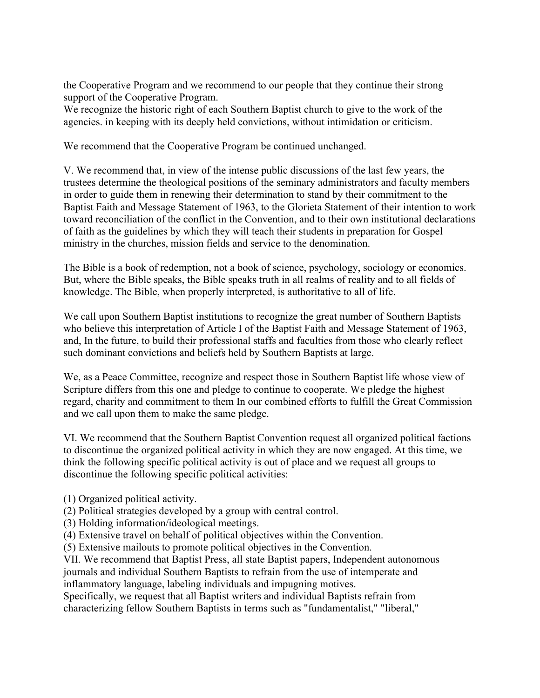the Cooperative Program and we recommend to our people that they continue their strong support of the Cooperative Program.

We recognize the historic right of each Southern Baptist church to give to the work of the agencies. in keeping with its deeply held convictions, without intimidation or criticism.

We recommend that the Cooperative Program be continued unchanged.

V. We recommend that, in view of the intense public discussions of the last few years, the trustees determine the theological positions of the seminary administrators and faculty members in order to guide them in renewing their determination to stand by their commitment to the Baptist Faith and Message Statement of 1963, to the Glorieta Statement of their intention to work toward reconciliation of the conflict in the Convention, and to their own institutional declarations of faith as the guidelines by which they will teach their students in preparation for Gospel ministry in the churches, mission fields and service to the denomination.

The Bible is a book of redemption, not a book of science, psychology, sociology or economics. But, where the Bible speaks, the Bible speaks truth in all realms of reality and to all fields of knowledge. The Bible, when properly interpreted, is authoritative to all of life.

We call upon Southern Baptist institutions to recognize the great number of Southern Baptists who believe this interpretation of Article I of the Baptist Faith and Message Statement of 1963, and, In the future, to build their professional staffs and faculties from those who clearly reflect such dominant convictions and beliefs held by Southern Baptists at large.

We, as a Peace Committee, recognize and respect those in Southern Baptist life whose view of Scripture differs from this one and pledge to continue to cooperate. We pledge the highest regard, charity and commitment to them In our combined efforts to fulfill the Great Commission and we call upon them to make the same pledge.

VI. We recommend that the Southern Baptist Convention request all organized political factions to discontinue the organized political activity in which they are now engaged. At this time, we think the following specific political activity is out of place and we request all groups to discontinue the following specific political activities:

(1) Organized political activity.

(2) Political strategies developed by a group with central control.

(3) Holding information/ideological meetings.

(4) Extensive travel on behalf of political objectives within the Convention.

(5) Extensive mailouts to promote political objectives in the Convention.

VII. We recommend that Baptist Press, all state Baptist papers, Independent autonomous journals and individual Southern Baptists to refrain from the use of intemperate and inflammatory language, labeling individuals and impugning motives.

Specifically, we request that all Baptist writers and individual Baptists refrain from characterizing fellow Southern Baptists in terms such as "fundamentalist," "liberal,"